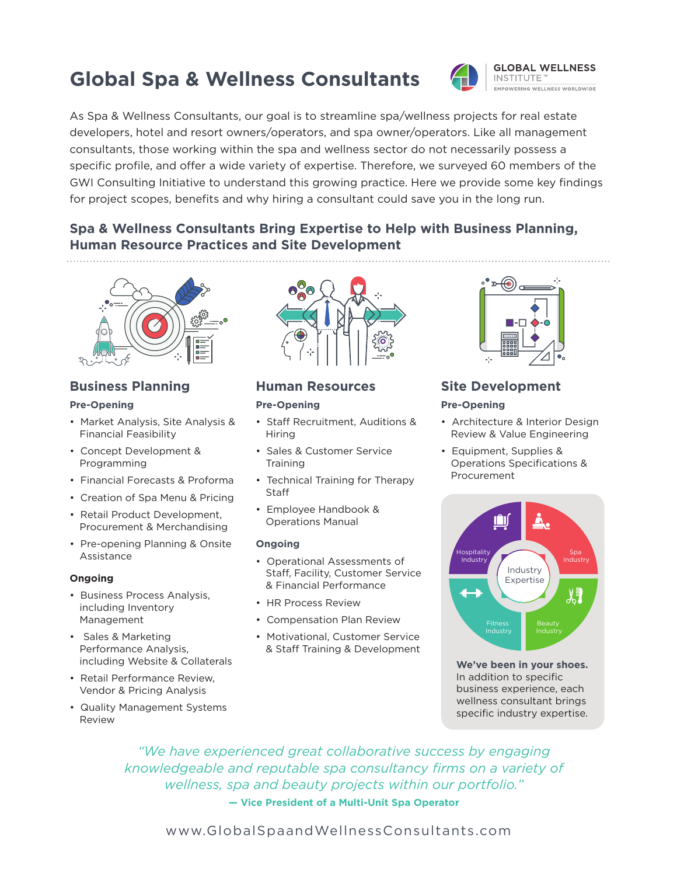## **Global Spa & Wellness Consultants**



**GLOBAL WELLNESS** INSTITUTE<sup>®</sup> EMPOWERING WELLNESS WORLDWIDE

As Spa & Wellness Consultants, our goal is to streamline spa/wellness projects for real estate developers, hotel and resort owners/operators, and spa owner/operators. Like all management consultants, those working within the spa and wellness sector do not necessarily possess a specific profile, and offer a wide variety of expertise. Therefore, we surveyed 60 members of the GWI Consulting Initiative to understand this growing practice. Here we provide some key findings for project scopes, benefits and why hiring a consultant could save you in the long run.

## **Spa & Wellness Consultants Bring Expertise to Help with Business Planning, Human Resource Practices and Site Development**



## **Business Planning**

#### **Pre-Opening**

- Market Analysis, Site Analysis & Financial Feasibility
- • Concept Development & Programming
- • Financial Forecasts & Proforma
- Creation of Spa Menu & Pricing
- Retail Product Development, Procurement & Merchandising
- Pre-opening Planning & Onsite Assistance

#### **Ongoing**

- Business Process Analysis, including Inventory Management
- •  Sales & Marketing Performance Analysis, including Website & Collaterals
- Retail Performance Review. Vendor & Pricing Analysis
- • Quality Management Systems Review



### **Human Resources**

#### **Pre-Opening**

- • Staff Recruitment, Auditions & Hiring
- • Sales & Customer Service **Training**
- Technical Training for Therapy Staff
- • Employee Handbook & Operations Manual

#### **Ongoing**

- • Operational Assessments of Staff, Facility, Customer Service & Financial Performance
- HR Process Review
- • Compensation Plan Review
- Motivational, Customer Service & Staff Training & Development



## **Site Development**

#### **Pre-Opening**

- Architecture & Interior Design Review & Value Engineering
- • Equipment, Supplies & Operations Specifications & Procurement



**We've been in your shoes.** In addition to specific business experience, each wellness consultant brings specific industry expertise.

*"We have experienced great collaborative success by engaging knowledgeable and reputable spa consultancy firms on a variety of wellness, spa and beauty projects within our portfolio."* **— Vice President of a Multi-Unit Spa Operator**

www.GlobalSpaandWellnessConsultants.com